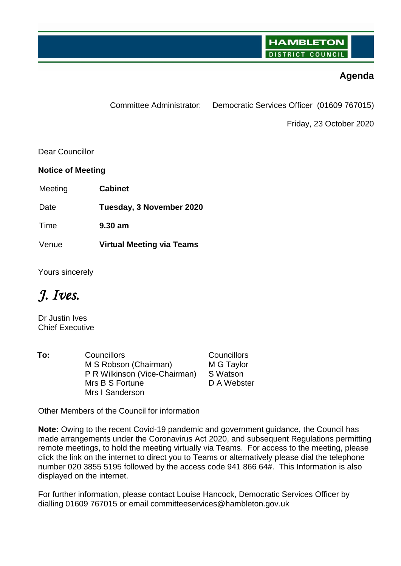## **Agenda**

Committee Administrator: Democratic Services Officer (01609 767015)

Friday, 23 October 2020

Dear Councillor

**Notice of Meeting**

Meeting **Cabinet**

Date **Tuesday, 3 November 2020**

Time **9.30 am**

Venue **Virtual Meeting via Teams**

Yours sincerely

*J. Ives.*

Dr Justin Ives Chief Executive

**To:** Councillors Councillors M S Robson (Chairman) P R Wilkinson (Vice-Chairman) Mrs B S Fortune Mrs I Sanderson

M G Taylor S Watson D A Webster

Other Members of the Council for information

**Note:** Owing to the recent Covid-19 pandemic and government guidance, the Council has made arrangements under the Coronavirus Act 2020, and subsequent Regulations permitting remote meetings, to hold the meeting virtually via Teams. For access to the meeting, please click the link on the internet to direct you to Teams or alternatively please dial the telephone number 020 3855 5195 followed by the access code 941 866 64#. This Information is also displayed on the internet.

For further information, please contact Louise Hancock, Democratic Services Officer by dialling 01609 767015 or email committeeservices@hambleton.gov.uk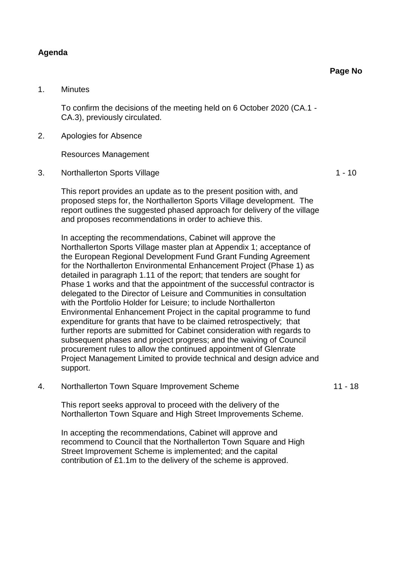## **Agenda**

## 1. Minutes

To confirm the decisions of the meeting held on 6 October 2020 (CA.1 - CA.3), previously circulated.

2. Apologies for Absence

Resources Management

3. Northallerton Sports Village 1 - 10

This report provides an update as to the present position with, and proposed steps for, the Northallerton Sports Village development. The report outlines the suggested phased approach for delivery of the village and proposes recommendations in order to achieve this.

In accepting the recommendations, Cabinet will approve the Northallerton Sports Village master plan at Appendix 1; acceptance of the European Regional Development Fund Grant Funding Agreement for the Northallerton Environmental Enhancement Project (Phase 1) as detailed in paragraph 1.11 of the report; that tenders are sought for Phase 1 works and that the appointment of the successful contractor is delegated to the Director of Leisure and Communities in consultation with the Portfolio Holder for Leisure; to include Northallerton Environmental Enhancement Project in the capital programme to fund expenditure for grants that have to be claimed retrospectively; that further reports are submitted for Cabinet consideration with regards to subsequent phases and project progress; and the waiving of Council procurement rules to allow the continued appointment of Glenrate Project Management Limited to provide technical and design advice and support.

4. Northallerton Town Square Improvement Scheme 11 - 18

This report seeks approval to proceed with the delivery of the Northallerton Town Square and High Street Improvements Scheme.

In accepting the recommendations, Cabinet will approve and recommend to Council that the Northallerton Town Square and High Street Improvement Scheme is implemented; and the capital contribution of £1.1m to the delivery of the scheme is approved.

**Page No**